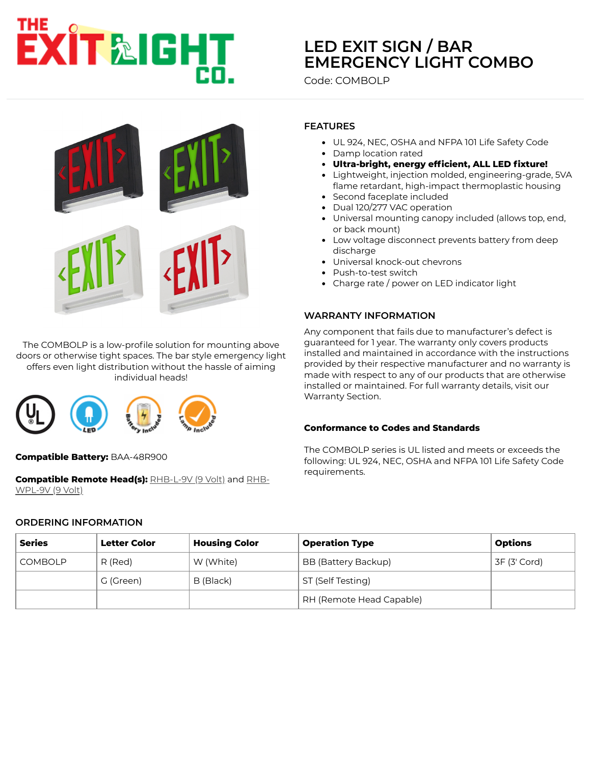# **XIT&IGHT**

# **LED EXIT SIGN / BAR [EMERGENCY LIGHT COMBO](https://www.exitlightco.com/search?categories%5B%5D=&Search=combolp)**

Code: COMBOLP



The COMBOLP is a low-profile solution for mounting above doors or otherwise tight spaces. The bar style emergency light offers even light distribution without the hassle of aiming individual heads!



**Compatible Battery:** BAA-48R900

**[Compatible Remote Head\(s\):](https://www.exitlightco.com/product/RHB-WPL1.html)** [RHB-L-9V \(9 Volt\)](https://www.exitlightco.com/product/RHB-L1.html) and RHB-WPL-9V (9 Volt)

#### **ORDERING INFORMATION**

# **FEATURES**

- UL 924, NEC, OSHA and NFPA 101 Life Safety Code
- Damp location rated
- **Ultra-bright, energy efficient, ALL LED fixture!**
- Lightweight, injection molded, engineering-grade, 5VA flame retardant, high-impact thermoplastic housing
- Second faceplate included
- Dual 120/277 VAC operation
- Universal mounting canopy included (allows top, end, or back mount)
- Low voltage disconnect prevents battery from deep discharge
- Universal knock-out chevrons
- Push-to-test switch
- Charge rate / power on LED indicator light

# **WARRANTY INFORMATION**

Any component that fails due to manufacturer's defect is guaranteed for 1 year. The warranty only covers products installed and maintained in accordance with the instructions provided by their respective manufacturer and no warranty is made with respect to any of our products that are otherwise installed or maintained. For full warranty details, visit our Warranty Section.

#### **Conformance to Codes and Standards**

The COMBOLP series is UL listed and meets or exceeds the following: UL 924, NEC, OSHA and NFPA 101 Life Safety Code requirements.

| <b>Series</b>  | <b>Letter Color</b> | <b>Housing Color</b> | <b>Operation Type</b>    | <b>Options</b> |
|----------------|---------------------|----------------------|--------------------------|----------------|
| <b>COMBOLP</b> | R (Red)             | W (White)            | BB (Battery Backup)      | 3F (3' Cord)   |
|                | G (Green)           | B (Black)            | ST (Self Testing)        |                |
|                |                     |                      | RH (Remote Head Capable) |                |